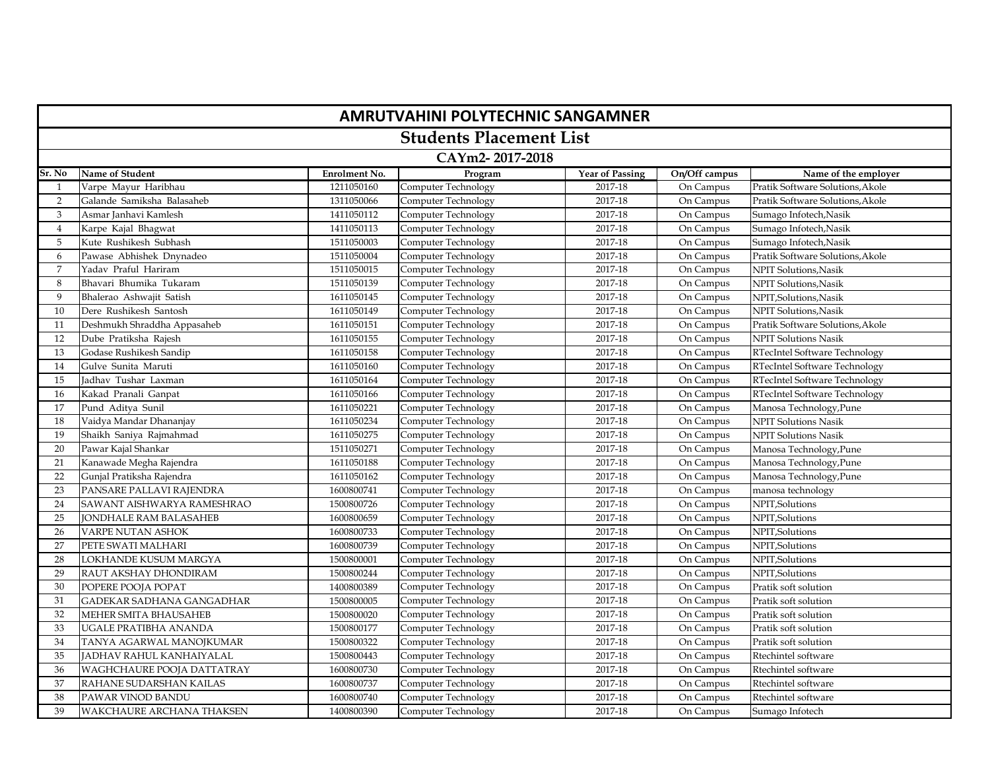| <b>AMRUTVAHINI POLYTECHNIC SANGAMNER</b> |                                   |                      |                            |                        |               |                                  |  |  |  |
|------------------------------------------|-----------------------------------|----------------------|----------------------------|------------------------|---------------|----------------------------------|--|--|--|
|                                          | <b>Students Placement List</b>    |                      |                            |                        |               |                                  |  |  |  |
|                                          | CAYm2-2017-2018                   |                      |                            |                        |               |                                  |  |  |  |
| Sr. No                                   | Name of Student                   | <b>Enrolment No.</b> | Program                    | <b>Year of Passing</b> | On/Off campus | Name of the employer             |  |  |  |
| 1                                        | Varpe Mayur Haribhau              | 1211050160           | <b>Computer Technology</b> | 2017-18                | On Campus     | Pratik Software Solutions, Akole |  |  |  |
| $\overline{2}$                           | Galande Samiksha Balasaheb        | 1311050066           | Computer Technology        | 2017-18                | On Campus     | Pratik Software Solutions, Akole |  |  |  |
| 3                                        | Asmar Janhavi Kamlesh             | 1411050112           | Computer Technology        | 2017-18                | On Campus     | Sumago Infotech, Nasik           |  |  |  |
| $\overline{4}$                           | Karpe Kajal Bhagwat               | 1411050113           | Computer Technology        | 2017-18                | On Campus     | Sumago Infotech, Nasik           |  |  |  |
| 5                                        | Kute Rushikesh Subhash            | 1511050003           | Computer Technology        | 2017-18                | On Campus     | Sumago Infotech, Nasik           |  |  |  |
| 6                                        | Pawase Abhishek Dnynadeo          | 1511050004           | Computer Technology        | 2017-18                | On Campus     | Pratik Software Solutions, Akole |  |  |  |
| 7                                        | Yaday Praful Hariram              | 1511050015           | Computer Technology        | 2017-18                | On Campus     | NPIT Solutions.Nasik             |  |  |  |
| 8                                        | Bhavari Bhumika Tukaram           | 1511050139           | Computer Technology        | 2017-18                | On Campus     | NPIT Solutions, Nasik            |  |  |  |
| 9                                        | Bhalerao Ashwajit Satish          | 1611050145           | Computer Technology        | 2017-18                | On Campus     | NPIT, Solutions, Nasik           |  |  |  |
| 10                                       | Dere Rushikesh Santosh            | 1611050149           | Computer Technology        | 2017-18                | On Campus     | NPIT Solutions, Nasik            |  |  |  |
| 11                                       | Deshmukh Shraddha Appasaheb       | 1611050151           | Computer Technology        | 2017-18                | On Campus     | Pratik Software Solutions, Akole |  |  |  |
| 12                                       | Dube Pratiksha Rajesh             | 1611050155           | Computer Technology        | 2017-18                | On Campus     | NPIT Solutions Nasik             |  |  |  |
| 13                                       | Godase Rushikesh Sandip           | 1611050158           | Computer Technology        | 2017-18                | On Campus     | RTecIntel Software Technology    |  |  |  |
| 14                                       | Gulve Sunita Maruti               | 1611050160           | Computer Technology        | 2017-18                | On Campus     | RTecIntel Software Technology    |  |  |  |
| 15                                       | Jadhay Tushar Laxman              | 1611050164           | Computer Technology        | 2017-18                | On Campus     | RTecIntel Software Technology    |  |  |  |
| 16                                       | Kakad Pranali Ganpat              | 1611050166           | Computer Technology        | 2017-18                | On Campus     | RTecIntel Software Technology    |  |  |  |
| 17                                       | Pund Aditya Sunil                 | 1611050221           | Computer Technology        | 2017-18                | On Campus     | Manosa Technology, Pune          |  |  |  |
| 18                                       | Vaidya Mandar Dhananjay           | 1611050234           | Computer Technology        | 2017-18                | On Campus     | <b>NPIT Solutions Nasik</b>      |  |  |  |
| 19                                       | Shaikh Saniya Rajmahmad           | 1611050275           | Computer Technology        | 2017-18                | On Campus     | <b>NPIT Solutions Nasik</b>      |  |  |  |
| 20                                       | Pawar Kajal Shankar               | 1511050271           | Computer Technology        | 2017-18                | On Campus     | Manosa Technology, Pune          |  |  |  |
| 21                                       | Kanawade Megha Rajendra           | 1611050188           | Computer Technology        | 2017-18                | On Campus     | Manosa Technology, Pune          |  |  |  |
| 22                                       | Gunjal Pratiksha Rajendra         | 1611050162           | Computer Technology        | 2017-18                | On Campus     | Manosa Technology, Pune          |  |  |  |
| 23                                       | PANSARE PALLAVI RAJENDRA          | 1600800741           | Computer Technology        | 2017-18                | On Campus     | manosa technology                |  |  |  |
| 24                                       | SAWANT AISHWARYA RAMESHRAO        | 1500800726           | Computer Technology        | 2017-18                | On Campus     | NPIT, Solutions                  |  |  |  |
| 25                                       | <b>IONDHALE RAM BALASAHEB</b>     | 1600800659           | Computer Technology        | 2017-18                | On Campus     | NPIT, Solutions                  |  |  |  |
| 26                                       | VARPE NUTAN ASHOK                 | 1600800733           | Computer Technology        | 2017-18                | On Campus     | NPIT, Solutions                  |  |  |  |
| 27                                       | PETE SWATI MALHARI                | 1600800739           | Computer Technology        | 2017-18                | On Campus     | NPIT, Solutions                  |  |  |  |
| 28                                       | LOKHANDE KUSUM MARGYA             | 1500800001           | Computer Technology        | 2017-18                | On Campus     | NPIT, Solutions                  |  |  |  |
| 29                                       | RAUT AKSHAY DHONDIRAM             | 1500800244           | Computer Technology        | 2017-18                | On Campus     | NPIT, Solutions                  |  |  |  |
| 30                                       | POPERE POOJA POPAT                | 1400800389           | Computer Technology        | 2017-18                | On Campus     | Pratik soft solution             |  |  |  |
| 31                                       | GADEKAR SADHANA GANGADHAR         | 1500800005           | <b>Computer Technology</b> | 2017-18                | On Campus     | Pratik soft solution             |  |  |  |
| 32                                       | MEHER SMITA BHAUSAHEB             | 1500800020           | Computer Technology        | 2017-18                | On Campus     | Pratik soft solution             |  |  |  |
| 33                                       | UGALE PRATIBHA ANANDA             | 1500800177           | Computer Technology        | 2017-18                | On Campus     | Pratik soft solution             |  |  |  |
| 34                                       | TANYA AGARWAL MANOJKUMAR          | 1500800322           | Computer Technology        | 2017-18                | On Campus     | Pratik soft solution             |  |  |  |
| 35                                       | JADHAV RAHUL KANHAIYALAL          | 1500800443           | Computer Technology        | 2017-18                | On Campus     | Rtechintel software              |  |  |  |
| 36                                       | <b>WAGHCHAURE POOJA DATTATRAY</b> | 1600800730           | Computer Technology        | 2017-18                | On Campus     | Rtechintel software              |  |  |  |
| 37                                       | RAHANE SUDARSHAN KAILAS           | 1600800737           | Computer Technology        | 2017-18                | On Campus     | Rtechintel software              |  |  |  |
| 38                                       | PAWAR VINOD BANDU                 | 1600800740           | Computer Technology        | 2017-18                | On Campus     | Rtechintel software              |  |  |  |
| 39                                       | WAKCHAURE ARCHANA THAKSEN         | 1400800390           | Computer Technology        | 2017-18                | On Campus     | Sumago Infotech                  |  |  |  |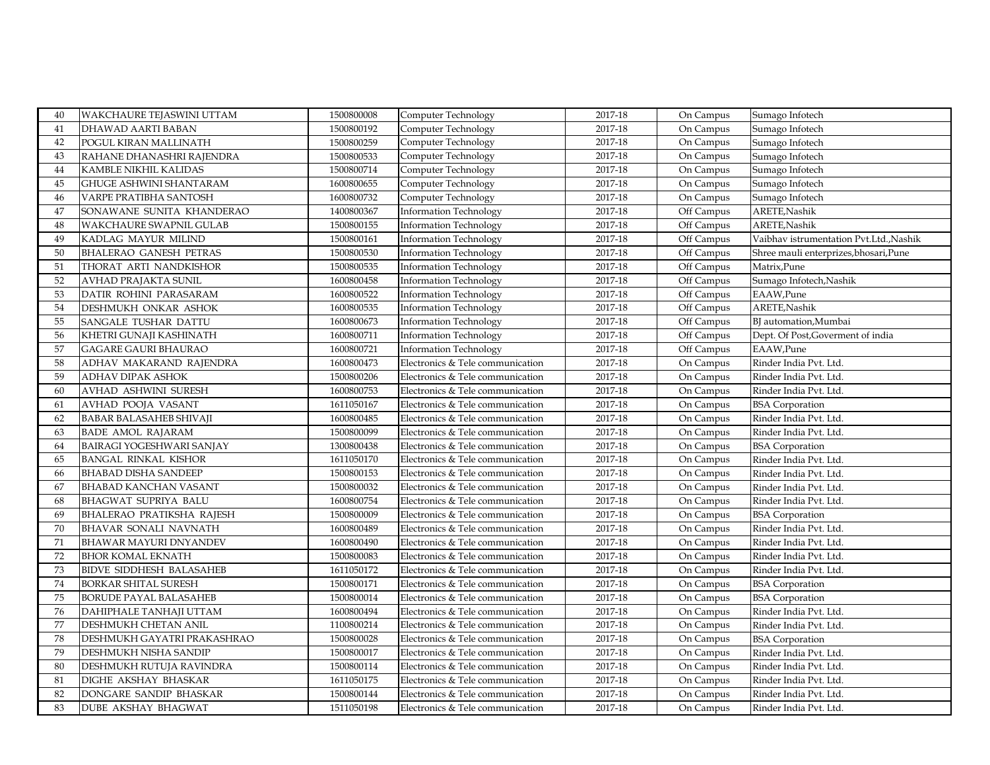| 1500800192<br>41<br>DHAWAD AARTI BABAN<br><b>Computer Technology</b><br>2017-18<br>On Campus<br>Sumago Infotech<br>42<br>1500800259<br>2017-18<br>POGUL KIRAN MALLINATH<br>Computer Technology<br>On Campus<br>Sumago Infotech<br>43<br>1500800533<br>2017-18<br>RAHANE DHANASHRI RAJENDRA<br>Computer Technology<br>On Campus<br>Sumago Infotech<br><b>KAMBLE NIKHIL KALIDAS</b><br>1500800714<br>2017-18<br>44<br>Computer Technology<br>On Campus<br>Sumago Infotech<br>45<br>2017-18<br><b>GHUGE ASHWINI SHANTARAM</b><br>1600800655<br>Computer Technology<br>On Campus<br>Sumago Infotech<br>46<br>VARPE PRATIBHA SANTOSH<br>1600800732<br>Computer Technology<br>2017-18<br>On Campus<br>Sumago Infotech<br>47<br>1400800367<br>2017-18<br><b>Information Technology</b><br>Off Campus<br>ARETE, Nashik<br>SONAWANE SUNITA KHANDERAO<br>48<br><b>WAKCHAURE SWAPNIL GULAB</b><br>1500800155<br>2017-18<br>Off Campus<br>ARETE, Nashik<br><b>Information Technology</b><br>1500800161<br>2017-18<br>49<br><b>Information Technology</b><br>Off Campus<br>Vaibhav istrumentation Pvt.Ltd., Nashik<br>KADLAG MAYUR MILIND<br>50<br>1500800530<br>2017-18<br><b>BHALERAO GANESH PETRAS</b><br>Off Campus<br>Shree mauli enterprizes, bhosari, Pune<br><b>Information Technology</b><br>51<br>THORAT ARTI NANDKISHOR<br>Matrix, Pune<br>1500800535<br><b>Information Technology</b><br>2017-18<br>Off Campus<br>52<br>Sumago Infotech, Nashik<br><b>AVHAD PRAJAKTA SUNIL</b><br>1600800458<br>2017-18<br>Off Campus<br><b>Information Technology</b><br>53<br>1600800522<br>2017-18<br>EAAW,Pune<br>DATIR ROHINI PARASARAM<br>Off Campus<br><b>Information Technology</b><br>ARETE, Nashik<br>54<br>1600800535<br>2017-18<br>Off Campus<br>DESHMUKH ONKAR ASHOK<br><b>Information Technology</b><br>55<br><b>SANGALE TUSHAR DATTU</b><br>1600800673<br>2017-18<br>Off Campus<br>BI automation, Mumbai<br><b>Information Technology</b><br>56<br>1600800711<br><b>Information Technology</b><br>2017-18<br>Off Campus<br>Dept. Of Post, Goverment of india<br>KHETRI GUNAJI KASHINATH<br>57<br><b>GAGARE GAURI BHAURAO</b><br>1600800721<br>2017-18<br>EAAW,Pune<br><b>Information Technology</b><br>Off Campus<br>58<br>ADHAV MAKARAND RAJENDRA<br>1600800473<br>Electronics & Tele communication<br>2017-18<br>On Campus<br>Rinder India Pvt. Ltd.<br>59<br>2017-18<br><b>ADHAV DIPAK ASHOK</b><br>1500800206<br>Electronics & Tele communication<br>On Campus<br>Rinder India Pvt. Ltd.<br>60<br>AVHAD ASHWINI SURESH<br>1600800753<br>2017-18<br>Rinder India Pvt. Ltd.<br>Electronics & Tele communication<br>On Campus |
|------------------------------------------------------------------------------------------------------------------------------------------------------------------------------------------------------------------------------------------------------------------------------------------------------------------------------------------------------------------------------------------------------------------------------------------------------------------------------------------------------------------------------------------------------------------------------------------------------------------------------------------------------------------------------------------------------------------------------------------------------------------------------------------------------------------------------------------------------------------------------------------------------------------------------------------------------------------------------------------------------------------------------------------------------------------------------------------------------------------------------------------------------------------------------------------------------------------------------------------------------------------------------------------------------------------------------------------------------------------------------------------------------------------------------------------------------------------------------------------------------------------------------------------------------------------------------------------------------------------------------------------------------------------------------------------------------------------------------------------------------------------------------------------------------------------------------------------------------------------------------------------------------------------------------------------------------------------------------------------------------------------------------------------------------------------------------------------------------------------------------------------------------------------------------------------------------------------------------------------------------------------------------------------------------------------------------------------------------------------------------------------------------------------------------------------------------------------------------------------------------------------------------------------------------------------------------------------------------------------------------|
|                                                                                                                                                                                                                                                                                                                                                                                                                                                                                                                                                                                                                                                                                                                                                                                                                                                                                                                                                                                                                                                                                                                                                                                                                                                                                                                                                                                                                                                                                                                                                                                                                                                                                                                                                                                                                                                                                                                                                                                                                                                                                                                                                                                                                                                                                                                                                                                                                                                                                                                                                                                                                              |
|                                                                                                                                                                                                                                                                                                                                                                                                                                                                                                                                                                                                                                                                                                                                                                                                                                                                                                                                                                                                                                                                                                                                                                                                                                                                                                                                                                                                                                                                                                                                                                                                                                                                                                                                                                                                                                                                                                                                                                                                                                                                                                                                                                                                                                                                                                                                                                                                                                                                                                                                                                                                                              |
|                                                                                                                                                                                                                                                                                                                                                                                                                                                                                                                                                                                                                                                                                                                                                                                                                                                                                                                                                                                                                                                                                                                                                                                                                                                                                                                                                                                                                                                                                                                                                                                                                                                                                                                                                                                                                                                                                                                                                                                                                                                                                                                                                                                                                                                                                                                                                                                                                                                                                                                                                                                                                              |
|                                                                                                                                                                                                                                                                                                                                                                                                                                                                                                                                                                                                                                                                                                                                                                                                                                                                                                                                                                                                                                                                                                                                                                                                                                                                                                                                                                                                                                                                                                                                                                                                                                                                                                                                                                                                                                                                                                                                                                                                                                                                                                                                                                                                                                                                                                                                                                                                                                                                                                                                                                                                                              |
|                                                                                                                                                                                                                                                                                                                                                                                                                                                                                                                                                                                                                                                                                                                                                                                                                                                                                                                                                                                                                                                                                                                                                                                                                                                                                                                                                                                                                                                                                                                                                                                                                                                                                                                                                                                                                                                                                                                                                                                                                                                                                                                                                                                                                                                                                                                                                                                                                                                                                                                                                                                                                              |
|                                                                                                                                                                                                                                                                                                                                                                                                                                                                                                                                                                                                                                                                                                                                                                                                                                                                                                                                                                                                                                                                                                                                                                                                                                                                                                                                                                                                                                                                                                                                                                                                                                                                                                                                                                                                                                                                                                                                                                                                                                                                                                                                                                                                                                                                                                                                                                                                                                                                                                                                                                                                                              |
|                                                                                                                                                                                                                                                                                                                                                                                                                                                                                                                                                                                                                                                                                                                                                                                                                                                                                                                                                                                                                                                                                                                                                                                                                                                                                                                                                                                                                                                                                                                                                                                                                                                                                                                                                                                                                                                                                                                                                                                                                                                                                                                                                                                                                                                                                                                                                                                                                                                                                                                                                                                                                              |
|                                                                                                                                                                                                                                                                                                                                                                                                                                                                                                                                                                                                                                                                                                                                                                                                                                                                                                                                                                                                                                                                                                                                                                                                                                                                                                                                                                                                                                                                                                                                                                                                                                                                                                                                                                                                                                                                                                                                                                                                                                                                                                                                                                                                                                                                                                                                                                                                                                                                                                                                                                                                                              |
|                                                                                                                                                                                                                                                                                                                                                                                                                                                                                                                                                                                                                                                                                                                                                                                                                                                                                                                                                                                                                                                                                                                                                                                                                                                                                                                                                                                                                                                                                                                                                                                                                                                                                                                                                                                                                                                                                                                                                                                                                                                                                                                                                                                                                                                                                                                                                                                                                                                                                                                                                                                                                              |
|                                                                                                                                                                                                                                                                                                                                                                                                                                                                                                                                                                                                                                                                                                                                                                                                                                                                                                                                                                                                                                                                                                                                                                                                                                                                                                                                                                                                                                                                                                                                                                                                                                                                                                                                                                                                                                                                                                                                                                                                                                                                                                                                                                                                                                                                                                                                                                                                                                                                                                                                                                                                                              |
|                                                                                                                                                                                                                                                                                                                                                                                                                                                                                                                                                                                                                                                                                                                                                                                                                                                                                                                                                                                                                                                                                                                                                                                                                                                                                                                                                                                                                                                                                                                                                                                                                                                                                                                                                                                                                                                                                                                                                                                                                                                                                                                                                                                                                                                                                                                                                                                                                                                                                                                                                                                                                              |
|                                                                                                                                                                                                                                                                                                                                                                                                                                                                                                                                                                                                                                                                                                                                                                                                                                                                                                                                                                                                                                                                                                                                                                                                                                                                                                                                                                                                                                                                                                                                                                                                                                                                                                                                                                                                                                                                                                                                                                                                                                                                                                                                                                                                                                                                                                                                                                                                                                                                                                                                                                                                                              |
|                                                                                                                                                                                                                                                                                                                                                                                                                                                                                                                                                                                                                                                                                                                                                                                                                                                                                                                                                                                                                                                                                                                                                                                                                                                                                                                                                                                                                                                                                                                                                                                                                                                                                                                                                                                                                                                                                                                                                                                                                                                                                                                                                                                                                                                                                                                                                                                                                                                                                                                                                                                                                              |
|                                                                                                                                                                                                                                                                                                                                                                                                                                                                                                                                                                                                                                                                                                                                                                                                                                                                                                                                                                                                                                                                                                                                                                                                                                                                                                                                                                                                                                                                                                                                                                                                                                                                                                                                                                                                                                                                                                                                                                                                                                                                                                                                                                                                                                                                                                                                                                                                                                                                                                                                                                                                                              |
|                                                                                                                                                                                                                                                                                                                                                                                                                                                                                                                                                                                                                                                                                                                                                                                                                                                                                                                                                                                                                                                                                                                                                                                                                                                                                                                                                                                                                                                                                                                                                                                                                                                                                                                                                                                                                                                                                                                                                                                                                                                                                                                                                                                                                                                                                                                                                                                                                                                                                                                                                                                                                              |
|                                                                                                                                                                                                                                                                                                                                                                                                                                                                                                                                                                                                                                                                                                                                                                                                                                                                                                                                                                                                                                                                                                                                                                                                                                                                                                                                                                                                                                                                                                                                                                                                                                                                                                                                                                                                                                                                                                                                                                                                                                                                                                                                                                                                                                                                                                                                                                                                                                                                                                                                                                                                                              |
|                                                                                                                                                                                                                                                                                                                                                                                                                                                                                                                                                                                                                                                                                                                                                                                                                                                                                                                                                                                                                                                                                                                                                                                                                                                                                                                                                                                                                                                                                                                                                                                                                                                                                                                                                                                                                                                                                                                                                                                                                                                                                                                                                                                                                                                                                                                                                                                                                                                                                                                                                                                                                              |
|                                                                                                                                                                                                                                                                                                                                                                                                                                                                                                                                                                                                                                                                                                                                                                                                                                                                                                                                                                                                                                                                                                                                                                                                                                                                                                                                                                                                                                                                                                                                                                                                                                                                                                                                                                                                                                                                                                                                                                                                                                                                                                                                                                                                                                                                                                                                                                                                                                                                                                                                                                                                                              |
|                                                                                                                                                                                                                                                                                                                                                                                                                                                                                                                                                                                                                                                                                                                                                                                                                                                                                                                                                                                                                                                                                                                                                                                                                                                                                                                                                                                                                                                                                                                                                                                                                                                                                                                                                                                                                                                                                                                                                                                                                                                                                                                                                                                                                                                                                                                                                                                                                                                                                                                                                                                                                              |
|                                                                                                                                                                                                                                                                                                                                                                                                                                                                                                                                                                                                                                                                                                                                                                                                                                                                                                                                                                                                                                                                                                                                                                                                                                                                                                                                                                                                                                                                                                                                                                                                                                                                                                                                                                                                                                                                                                                                                                                                                                                                                                                                                                                                                                                                                                                                                                                                                                                                                                                                                                                                                              |
| AVHAD POOJA VASANT<br>1611050167<br>2017-18<br>61<br>Electronics & Tele communication<br>On Campus<br><b>BSA</b> Corporation                                                                                                                                                                                                                                                                                                                                                                                                                                                                                                                                                                                                                                                                                                                                                                                                                                                                                                                                                                                                                                                                                                                                                                                                                                                                                                                                                                                                                                                                                                                                                                                                                                                                                                                                                                                                                                                                                                                                                                                                                                                                                                                                                                                                                                                                                                                                                                                                                                                                                                 |
| 62<br>2017-18<br><b>BABAR BALASAHEB SHIVAJI</b><br>1600800485<br>Electronics & Tele communication<br>On Campus<br>Rinder India Pvt. Ltd.                                                                                                                                                                                                                                                                                                                                                                                                                                                                                                                                                                                                                                                                                                                                                                                                                                                                                                                                                                                                                                                                                                                                                                                                                                                                                                                                                                                                                                                                                                                                                                                                                                                                                                                                                                                                                                                                                                                                                                                                                                                                                                                                                                                                                                                                                                                                                                                                                                                                                     |
| 63<br><b>BADE AMOL RAJARAM</b><br>1500800099<br>2017-18<br>Electronics & Tele communication<br>On Campus<br>Rinder India Pvt. Ltd.                                                                                                                                                                                                                                                                                                                                                                                                                                                                                                                                                                                                                                                                                                                                                                                                                                                                                                                                                                                                                                                                                                                                                                                                                                                                                                                                                                                                                                                                                                                                                                                                                                                                                                                                                                                                                                                                                                                                                                                                                                                                                                                                                                                                                                                                                                                                                                                                                                                                                           |
| 2017-18<br>64<br><b>BAIRAGI YOGESHWARI SANJAY</b><br>1300800438<br>Electronics & Tele communication<br>On Campus<br><b>BSA</b> Corporation                                                                                                                                                                                                                                                                                                                                                                                                                                                                                                                                                                                                                                                                                                                                                                                                                                                                                                                                                                                                                                                                                                                                                                                                                                                                                                                                                                                                                                                                                                                                                                                                                                                                                                                                                                                                                                                                                                                                                                                                                                                                                                                                                                                                                                                                                                                                                                                                                                                                                   |
| 65<br><b>BANGAL RINKAL KISHOR</b><br>1611050170<br>Electronics & Tele communication<br>2017-18<br>On Campus<br>Rinder India Pvt. Ltd.                                                                                                                                                                                                                                                                                                                                                                                                                                                                                                                                                                                                                                                                                                                                                                                                                                                                                                                                                                                                                                                                                                                                                                                                                                                                                                                                                                                                                                                                                                                                                                                                                                                                                                                                                                                                                                                                                                                                                                                                                                                                                                                                                                                                                                                                                                                                                                                                                                                                                        |
| 66<br><b>BHABAD DISHA SANDEEP</b><br>2017-18<br>Rinder India Pvt. Ltd.<br>1500800153<br>Electronics & Tele communication<br>On Campus                                                                                                                                                                                                                                                                                                                                                                                                                                                                                                                                                                                                                                                                                                                                                                                                                                                                                                                                                                                                                                                                                                                                                                                                                                                                                                                                                                                                                                                                                                                                                                                                                                                                                                                                                                                                                                                                                                                                                                                                                                                                                                                                                                                                                                                                                                                                                                                                                                                                                        |
| 67<br><b>BHABAD KANCHAN VASANT</b><br>1500800032<br>Electronics & Tele communication<br>2017-18<br>On Campus<br>Rinder India Pvt. Ltd.                                                                                                                                                                                                                                                                                                                                                                                                                                                                                                                                                                                                                                                                                                                                                                                                                                                                                                                                                                                                                                                                                                                                                                                                                                                                                                                                                                                                                                                                                                                                                                                                                                                                                                                                                                                                                                                                                                                                                                                                                                                                                                                                                                                                                                                                                                                                                                                                                                                                                       |
| 68<br><b>BHAGWAT SUPRIYA BALU</b><br>2017-18<br>1600800754<br>Electronics & Tele communication<br>On Campus<br>Rinder India Pvt. Ltd.                                                                                                                                                                                                                                                                                                                                                                                                                                                                                                                                                                                                                                                                                                                                                                                                                                                                                                                                                                                                                                                                                                                                                                                                                                                                                                                                                                                                                                                                                                                                                                                                                                                                                                                                                                                                                                                                                                                                                                                                                                                                                                                                                                                                                                                                                                                                                                                                                                                                                        |
| 69<br><b>BHALERAO PRATIKSHA RAJESH</b><br>1500800009<br>Electronics & Tele communication<br>2017-18<br>On Campus<br><b>BSA</b> Corporation                                                                                                                                                                                                                                                                                                                                                                                                                                                                                                                                                                                                                                                                                                                                                                                                                                                                                                                                                                                                                                                                                                                                                                                                                                                                                                                                                                                                                                                                                                                                                                                                                                                                                                                                                                                                                                                                                                                                                                                                                                                                                                                                                                                                                                                                                                                                                                                                                                                                                   |
| 70<br>1600800489<br>2017-18<br><b>BHAVAR SONALI NAVNATH</b><br>Electronics & Tele communication<br>On Campus<br>Rinder India Pvt. Ltd.                                                                                                                                                                                                                                                                                                                                                                                                                                                                                                                                                                                                                                                                                                                                                                                                                                                                                                                                                                                                                                                                                                                                                                                                                                                                                                                                                                                                                                                                                                                                                                                                                                                                                                                                                                                                                                                                                                                                                                                                                                                                                                                                                                                                                                                                                                                                                                                                                                                                                       |
| 71<br><b>BHAWAR MAYURI DNYANDEV</b><br>1600800490<br>Electronics & Tele communication<br>2017-18<br>Rinder India Pvt. Ltd.<br>On Campus                                                                                                                                                                                                                                                                                                                                                                                                                                                                                                                                                                                                                                                                                                                                                                                                                                                                                                                                                                                                                                                                                                                                                                                                                                                                                                                                                                                                                                                                                                                                                                                                                                                                                                                                                                                                                                                                                                                                                                                                                                                                                                                                                                                                                                                                                                                                                                                                                                                                                      |
| 72<br><b>BHOR KOMAL EKNATH</b><br>1500800083<br>Electronics & Tele communication<br>2017-18<br>On Campus<br>Rinder India Pvt. Ltd.                                                                                                                                                                                                                                                                                                                                                                                                                                                                                                                                                                                                                                                                                                                                                                                                                                                                                                                                                                                                                                                                                                                                                                                                                                                                                                                                                                                                                                                                                                                                                                                                                                                                                                                                                                                                                                                                                                                                                                                                                                                                                                                                                                                                                                                                                                                                                                                                                                                                                           |
| 73<br><b>BIDVE SIDDHESH BALASAHEB</b><br>1611050172<br>2017-18<br>Rinder India Pvt. Ltd.<br>Electronics & Tele communication<br>On Campus                                                                                                                                                                                                                                                                                                                                                                                                                                                                                                                                                                                                                                                                                                                                                                                                                                                                                                                                                                                                                                                                                                                                                                                                                                                                                                                                                                                                                                                                                                                                                                                                                                                                                                                                                                                                                                                                                                                                                                                                                                                                                                                                                                                                                                                                                                                                                                                                                                                                                    |
| 74<br><b>BORKAR SHITAL SURESH</b><br>2017-18<br>1500800171<br>Electronics & Tele communication<br>On Campus<br><b>BSA</b> Corporation                                                                                                                                                                                                                                                                                                                                                                                                                                                                                                                                                                                                                                                                                                                                                                                                                                                                                                                                                                                                                                                                                                                                                                                                                                                                                                                                                                                                                                                                                                                                                                                                                                                                                                                                                                                                                                                                                                                                                                                                                                                                                                                                                                                                                                                                                                                                                                                                                                                                                        |
| 75<br><b>BORUDE PAYAL BALASAHEB</b><br>1500800014<br>Electronics & Tele communication<br>2017-18<br>On Campus<br><b>BSA</b> Corporation                                                                                                                                                                                                                                                                                                                                                                                                                                                                                                                                                                                                                                                                                                                                                                                                                                                                                                                                                                                                                                                                                                                                                                                                                                                                                                                                                                                                                                                                                                                                                                                                                                                                                                                                                                                                                                                                                                                                                                                                                                                                                                                                                                                                                                                                                                                                                                                                                                                                                      |
| 76<br>DAHIPHALE TANHAJI UTTAM<br>1600800494<br>2017-18<br>Electronics & Tele communication<br>On Campus<br>Rinder India Pvt. Ltd.                                                                                                                                                                                                                                                                                                                                                                                                                                                                                                                                                                                                                                                                                                                                                                                                                                                                                                                                                                                                                                                                                                                                                                                                                                                                                                                                                                                                                                                                                                                                                                                                                                                                                                                                                                                                                                                                                                                                                                                                                                                                                                                                                                                                                                                                                                                                                                                                                                                                                            |
| 77<br><b>DESHMUKH CHETAN ANIL</b><br>1100800214<br>Electronics & Tele communication<br>2017-18<br>Rinder India Pvt. Ltd.<br>On Campus                                                                                                                                                                                                                                                                                                                                                                                                                                                                                                                                                                                                                                                                                                                                                                                                                                                                                                                                                                                                                                                                                                                                                                                                                                                                                                                                                                                                                                                                                                                                                                                                                                                                                                                                                                                                                                                                                                                                                                                                                                                                                                                                                                                                                                                                                                                                                                                                                                                                                        |
| 78<br>2017-18<br>DESHMUKH GAYATRI PRAKASHRAO<br>1500800028<br>Electronics & Tele communication<br>On Campus<br><b>BSA</b> Corporation                                                                                                                                                                                                                                                                                                                                                                                                                                                                                                                                                                                                                                                                                                                                                                                                                                                                                                                                                                                                                                                                                                                                                                                                                                                                                                                                                                                                                                                                                                                                                                                                                                                                                                                                                                                                                                                                                                                                                                                                                                                                                                                                                                                                                                                                                                                                                                                                                                                                                        |
| 79<br>2017-18<br>Rinder India Pvt. Ltd.<br><b>DESHMUKH NISHA SANDIP</b><br>1500800017<br>Electronics & Tele communication<br>On Campus                                                                                                                                                                                                                                                                                                                                                                                                                                                                                                                                                                                                                                                                                                                                                                                                                                                                                                                                                                                                                                                                                                                                                                                                                                                                                                                                                                                                                                                                                                                                                                                                                                                                                                                                                                                                                                                                                                                                                                                                                                                                                                                                                                                                                                                                                                                                                                                                                                                                                       |
| 1500800114<br>80<br>DESHMUKH RUTUJA RAVINDRA<br>2017-18<br>Electronics & Tele communication<br>On Campus<br>Rinder India Pvt. Ltd.                                                                                                                                                                                                                                                                                                                                                                                                                                                                                                                                                                                                                                                                                                                                                                                                                                                                                                                                                                                                                                                                                                                                                                                                                                                                                                                                                                                                                                                                                                                                                                                                                                                                                                                                                                                                                                                                                                                                                                                                                                                                                                                                                                                                                                                                                                                                                                                                                                                                                           |
| 81<br><b>DIGHE AKSHAY BHASKAR</b><br>1611050175<br>Electronics & Tele communication<br>2017-18<br>Rinder India Pvt. Ltd.<br>On Campus                                                                                                                                                                                                                                                                                                                                                                                                                                                                                                                                                                                                                                                                                                                                                                                                                                                                                                                                                                                                                                                                                                                                                                                                                                                                                                                                                                                                                                                                                                                                                                                                                                                                                                                                                                                                                                                                                                                                                                                                                                                                                                                                                                                                                                                                                                                                                                                                                                                                                        |
| 82<br>Electronics & Tele communication<br>2017-18<br>DONGARE SANDIP BHASKAR<br>1500800144<br>On Campus<br>Rinder India Pvt. Ltd.                                                                                                                                                                                                                                                                                                                                                                                                                                                                                                                                                                                                                                                                                                                                                                                                                                                                                                                                                                                                                                                                                                                                                                                                                                                                                                                                                                                                                                                                                                                                                                                                                                                                                                                                                                                                                                                                                                                                                                                                                                                                                                                                                                                                                                                                                                                                                                                                                                                                                             |
| 83<br>1511050198<br>2017-18<br><b>DUBE AKSHAY BHAGWAT</b><br>Electronics & Tele communication<br>On Campus<br>Rinder India Pvt. Ltd.                                                                                                                                                                                                                                                                                                                                                                                                                                                                                                                                                                                                                                                                                                                                                                                                                                                                                                                                                                                                                                                                                                                                                                                                                                                                                                                                                                                                                                                                                                                                                                                                                                                                                                                                                                                                                                                                                                                                                                                                                                                                                                                                                                                                                                                                                                                                                                                                                                                                                         |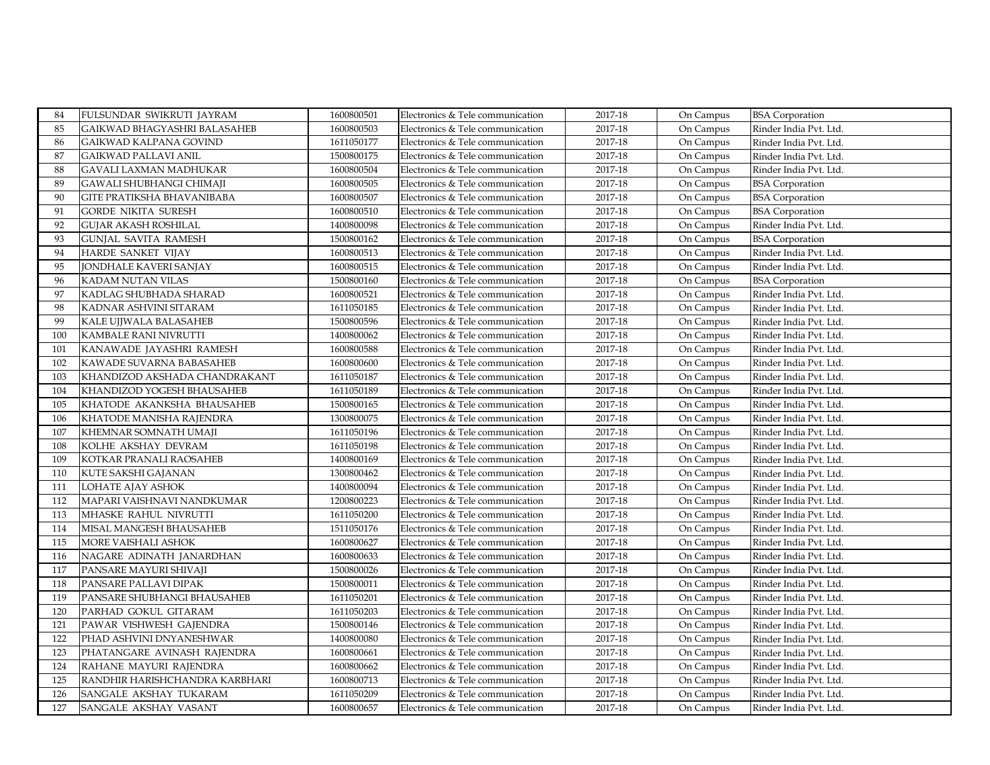| 84  | FULSUNDAR SWIKRUTI JAYRAM      | 1600800501 | Electronics & Tele communication | 2017-18 | On Campus | <b>BSA</b> Corporation |
|-----|--------------------------------|------------|----------------------------------|---------|-----------|------------------------|
| 85  | GAIKWAD BHAGYASHRI BALASAHEB   | 1600800503 | Electronics & Tele communication | 2017-18 | On Campus | Rinder India Pvt. Ltd. |
| 86  | GAIKWAD KALPANA GOVIND         | 1611050177 | Electronics & Tele communication | 2017-18 | On Campus | Rinder India Pvt. Ltd. |
| 87  | GAIKWAD PALLAVI ANIL           | 1500800175 | Electronics & Tele communication | 2017-18 | On Campus | Rinder India Pvt. Ltd. |
| 88  | GAVALI LAXMAN MADHUKAR         | 1600800504 | Electronics & Tele communication | 2017-18 | On Campus | Rinder India Pvt. Ltd. |
| 89  | GAWALI SHUBHANGI CHIMAJI       | 1600800505 | Electronics & Tele communication | 2017-18 | On Campus | <b>BSA</b> Corporation |
| 90  | GITE PRATIKSHA BHAVANIBABA     | 1600800507 | Electronics & Tele communication | 2017-18 | On Campus | <b>BSA</b> Corporation |
| 91  | GORDE NIKITA SURESH            | 1600800510 | Electronics & Tele communication | 2017-18 | On Campus | <b>BSA</b> Corporation |
| 92  | GUJAR AKASH ROSHILAL           | 1400800098 | Electronics & Tele communication | 2017-18 | On Campus | Rinder India Pvt. Ltd. |
| 93  | <b>GUNJAL SAVITA RAMESH</b>    | 1500800162 | Electronics & Tele communication | 2017-18 | On Campus | <b>BSA</b> Corporation |
| 94  | HARDE SANKET VIJAY             | 1600800513 | Electronics & Tele communication | 2017-18 | On Campus | Rinder India Pvt. Ltd. |
| 95  | JONDHALE KAVERI SANJAY         | 1600800515 | Electronics & Tele communication | 2017-18 | On Campus | Rinder India Pvt. Ltd. |
| 96  | KADAM NUTAN VILAS              | 1500800160 | Electronics & Tele communication | 2017-18 | On Campus | <b>BSA</b> Corporation |
| 97  | KADLAG SHUBHADA SHARAD         | 1600800521 | Electronics & Tele communication | 2017-18 | On Campus | Rinder India Pvt. Ltd. |
| 98  | KADNAR ASHVINI SITARAM         | 1611050185 | Electronics & Tele communication | 2017-18 | On Campus | Rinder India Pvt. Ltd. |
| 99  | KALE UJJWALA BALASAHEB         | 1500800596 | Electronics & Tele communication | 2017-18 | On Campus | Rinder India Pvt. Ltd. |
| 100 | KAMBALE RANI NIVRUTTI          | 1400800062 | Electronics & Tele communication | 2017-18 | On Campus | Rinder India Pvt. Ltd. |
| 101 | KANAWADE JAYASHRI RAMESH       | 1600800588 | Electronics & Tele communication | 2017-18 | On Campus | Rinder India Pvt. Ltd. |
| 102 | KAWADE SUVARNA BABASAHEB       | 1600800600 | Electronics & Tele communication | 2017-18 | On Campus | Rinder India Pvt. Ltd. |
| 103 | KHANDIZOD AKSHADA CHANDRAKANT  | 1611050187 | Electronics & Tele communication | 2017-18 | On Campus | Rinder India Pvt. Ltd. |
| 104 | KHANDIZOD YOGESH BHAUSAHEB     | 1611050189 | Electronics & Tele communication | 2017-18 | On Campus | Rinder India Pvt. Ltd. |
| 105 | KHATODE AKANKSHA BHAUSAHEB     | 1500800165 | Electronics & Tele communication | 2017-18 | On Campus | Rinder India Pvt. Ltd. |
| 106 | KHATODE MANISHA RAJENDRA       | 1300800075 | Electronics & Tele communication | 2017-18 | On Campus | Rinder India Pvt. Ltd. |
| 107 | KHEMNAR SOMNATH UMAJI          | 1611050196 | Electronics & Tele communication | 2017-18 | On Campus | Rinder India Pvt. Ltd. |
| 108 | KOLHE AKSHAY DEVRAM            | 1611050198 | Electronics & Tele communication | 2017-18 | On Campus | Rinder India Pvt. Ltd. |
| 109 | KOTKAR PRANALI RAOSAHEB        | 1400800169 | Electronics & Tele communication | 2017-18 | On Campus | Rinder India Pvt. Ltd. |
| 110 | KUTE SAKSHI GAJANAN            | 1300800462 | Electronics & Tele communication | 2017-18 | On Campus | Rinder India Pvt. Ltd. |
| 111 | LOHATE AJAY ASHOK              | 1400800094 | Electronics & Tele communication | 2017-18 | On Campus | Rinder India Pvt. Ltd. |
| 112 | MAPARI VAISHNAVI NANDKUMAR     | 1200800223 | Electronics & Tele communication | 2017-18 | On Campus | Rinder India Pvt. Ltd. |
| 113 | MHASKE RAHUL NIVRUTTI          | 1611050200 | Electronics & Tele communication | 2017-18 | On Campus | Rinder India Pvt. Ltd. |
| 114 | MISAL MANGESH BHAUSAHEB        | 1511050176 | Electronics & Tele communication | 2017-18 | On Campus | Rinder India Pvt. Ltd. |
| 115 | MORE VAISHALI ASHOK            | 1600800627 | Electronics & Tele communication | 2017-18 | On Campus | Rinder India Pvt. Ltd. |
| 116 | NAGARE ADINATH JANARDHAN       | 1600800633 | Electronics & Tele communication | 2017-18 | On Campus | Rinder India Pvt. Ltd. |
| 117 | PANSARE MAYURI SHIVAJI         | 1500800026 | Electronics & Tele communication | 2017-18 | On Campus | Rinder India Pvt. Ltd. |
| 118 | PANSARE PALLAVI DIPAK          | 1500800011 | Electronics & Tele communication | 2017-18 | On Campus | Rinder India Pvt. Ltd. |
| 119 | PANSARE SHUBHANGI BHAUSAHEB    | 1611050201 | Electronics & Tele communication | 2017-18 | On Campus | Rinder India Pvt. Ltd. |
| 120 | PARHAD GOKUL GITARAM           | 1611050203 | Electronics & Tele communication | 2017-18 | On Campus | Rinder India Pvt. Ltd. |
| 121 | PAWAR VISHWESH GAJENDRA        | 1500800146 | Electronics & Tele communication | 2017-18 | On Campus | Rinder India Pvt. Ltd. |
| 122 | PHAD ASHVINI DNYANESHWAR       | 1400800080 | Electronics & Tele communication | 2017-18 | On Campus | Rinder India Pvt. Ltd. |
| 123 | PHATANGARE AVINASH RAJENDRA    | 1600800661 | Electronics & Tele communication | 2017-18 | On Campus | Rinder India Pvt. Ltd. |
| 124 | RAHANE MAYURI RAJENDRA         | 1600800662 | Electronics & Tele communication | 2017-18 | On Campus | Rinder India Pvt. Ltd. |
| 125 | RANDHIR HARISHCHANDRA KARBHARI | 1600800713 | Electronics & Tele communication | 2017-18 | On Campus | Rinder India Pvt. Ltd. |
| 126 | SANGALE AKSHAY TUKARAM         | 1611050209 | Electronics & Tele communication | 2017-18 | On Campus | Rinder India Pvt. Ltd. |
| 127 | SANGALE AKSHAY VASANT          | 1600800657 | Electronics & Tele communication | 2017-18 | On Campus | Rinder India Pvt. Ltd. |
|     |                                |            |                                  |         |           |                        |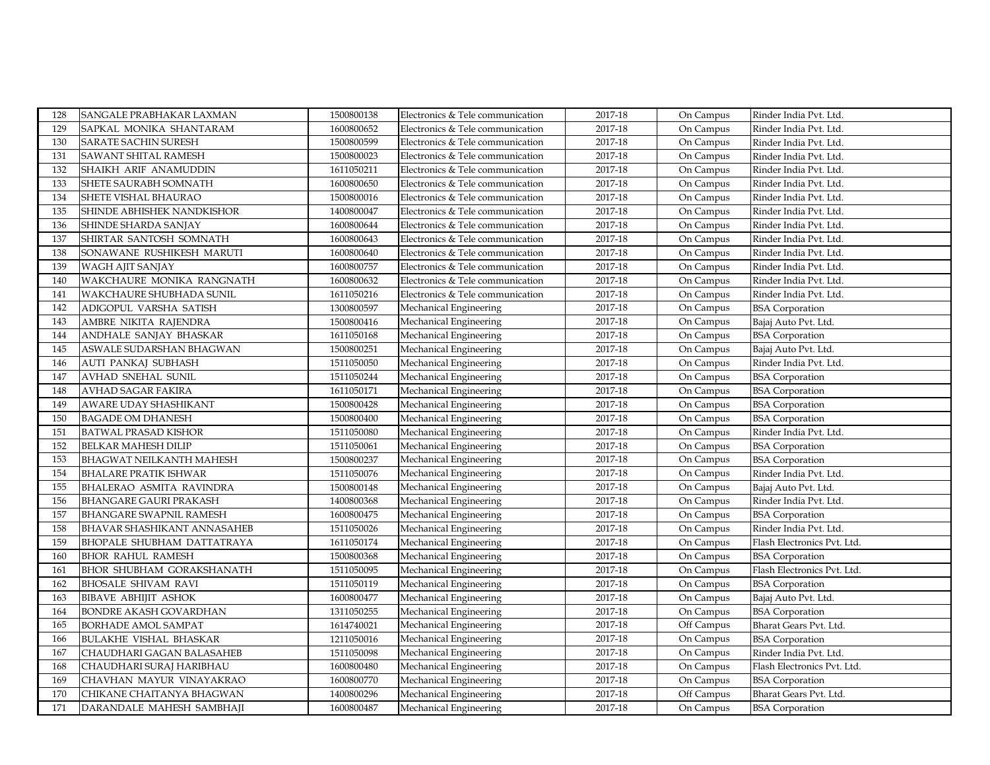| 128 | SANGALE PRABHAKAR LAXMAN           | 1500800138     | Electronics & Tele communication | 2017-18 | On Campus  | Rinder India Pvt. Ltd.      |
|-----|------------------------------------|----------------|----------------------------------|---------|------------|-----------------------------|
| 129 | SAPKAL MONIKA SHANTARAM            | 1600800652     | Electronics & Tele communication | 2017-18 | On Campus  | Rinder India Pvt. Ltd.      |
| 130 | <b>SARATE SACHIN SURESH</b>        | 1500800599     | Electronics & Tele communication | 2017-18 | On Campus  | Rinder India Pvt. Ltd.      |
| 131 | <b>SAWANT SHITAL RAMESH</b>        | 1500800023     | Electronics & Tele communication | 2017-18 | On Campus  | Rinder India Pvt. Ltd.      |
| 132 | SHAIKH ARIF ANAMUDDIN              | 1611050211     | Electronics & Tele communication | 2017-18 | On Campus  | Rinder India Pvt. Ltd.      |
| 133 | SHETE SAURABH SOMNATH              | 1600800650     | Electronics & Tele communication | 2017-18 | On Campus  | Rinder India Pvt. Ltd.      |
| 134 | <b>SHETE VISHAL BHAURAO</b>        | 1500800016     | Electronics & Tele communication | 2017-18 | On Campus  | Rinder India Pvt. Ltd.      |
| 135 | SHINDE ABHISHEK NANDKISHOR         | 1400800047     | Electronics & Tele communication | 2017-18 | On Campus  | Rinder India Pvt. Ltd.      |
| 136 | SHINDE SHARDA SANJAY               | 1600800644     | Electronics & Tele communication | 2017-18 | On Campus  | Rinder India Pvt. Ltd.      |
| 137 | SHIRTAR SANTOSH SOMNATH            | 1600800643     | Electronics & Tele communication | 2017-18 | On Campus  | Rinder India Pvt. Ltd.      |
| 138 | SONAWANE RUSHIKESH MARUTI          | 1600800640     | Electronics & Tele communication | 2017-18 | On Campus  | Rinder India Pvt. Ltd.      |
| 139 | <b>WAGH AJIT SANJAY</b>            | 1600800757     | Electronics & Tele communication | 2017-18 | On Campus  | Rinder India Pvt. Ltd.      |
| 140 | WAKCHAURE MONIKA RANGNATH          | 1600800632     | Electronics & Tele communication | 2017-18 | On Campus  | Rinder India Pvt. Ltd.      |
| 141 | WAKCHAURE SHUBHADA SUNIL           | 1611050216     | Electronics & Tele communication | 2017-18 | On Campus  | Rinder India Pvt. Ltd.      |
| 142 | ADIGOPUL VARSHA SATISH             | 1300800597     | Mechanical Engineering           | 2017-18 | On Campus  | <b>BSA Corporation</b>      |
| 143 | AMBRE NIKITA RAJENDRA              | 1500800416     | Mechanical Engineering           | 2017-18 | On Campus  | Bajaj Auto Pvt. Ltd.        |
| 144 | ANDHALE SANJAY BHASKAR             | $1611050168\,$ | Mechanical Engineering           | 2017-18 | On Campus  | <b>BSA</b> Corporation      |
| 145 | ASWALE SUDARSHAN BHAGWAN           | 1500800251     | Mechanical Engineering           | 2017-18 | On Campus  | Bajaj Auto Pvt. Ltd.        |
| 146 | AUTI PANKAJ SUBHASH                | 1511050050     | Mechanical Engineering           | 2017-18 | On Campus  | Rinder India Pvt. Ltd.      |
| 147 | <b>AVHAD SNEHAL SUNIL</b>          | 1511050244     | Mechanical Engineering           | 2017-18 | On Campus  | <b>BSA</b> Corporation      |
| 148 | AVHAD SAGAR FAKIRA                 | 1611050171     | Mechanical Engineering           | 2017-18 | On Campus  | <b>BSA</b> Corporation      |
| 149 | AWARE UDAY SHASHIKANT              | 1500800428     | Mechanical Engineering           | 2017-18 | On Campus  | <b>BSA Corporation</b>      |
| 150 | <b>BAGADE OM DHANESH</b>           | 1500800400     | Mechanical Engineering           | 2017-18 | On Campus  | <b>BSA Corporation</b>      |
| 151 | <b>BATWAL PRASAD KISHOR</b>        | 1511050080     | Mechanical Engineering           | 2017-18 | On Campus  | Rinder India Pvt. Ltd.      |
| 152 | <b>BELKAR MAHESH DILIP</b>         | 1511050061     | Mechanical Engineering           | 2017-18 | On Campus  | <b>BSA</b> Corporation      |
| 153 | <b>BHAGWAT NEILKANTH MAHESH</b>    | 1500800237     | Mechanical Engineering           | 2017-18 | On Campus  | <b>BSA</b> Corporation      |
| 154 | <b>BHALARE PRATIK ISHWAR</b>       | 1511050076     | Mechanical Engineering           | 2017-18 | On Campus  | Rinder India Pvt. Ltd.      |
| 155 | BHALERAO ASMITA RAVINDRA           | 1500800148     | Mechanical Engineering           | 2017-18 | On Campus  | Bajaj Auto Pvt. Ltd.        |
| 156 | <b>BHANGARE GAURI PRAKASH</b>      | 1400800368     | Mechanical Engineering           | 2017-18 | On Campus  | Rinder India Pvt. Ltd.      |
| 157 | <b>BHANGARE SWAPNIL RAMESH</b>     | 1600800475     | Mechanical Engineering           | 2017-18 | On Campus  | <b>BSA</b> Corporation      |
| 158 | <b>BHAVAR SHASHIKANT ANNASAHEB</b> | 1511050026     | Mechanical Engineering           | 2017-18 | On Campus  | Rinder India Pvt. Ltd.      |
| 159 | BHOPALE SHUBHAM DATTATRAYA         | 1611050174     | Mechanical Engineering           | 2017-18 | On Campus  | Flash Electronics Pvt. Ltd. |
| 160 | <b>BHOR RAHUL RAMESH</b>           | 1500800368     | Mechanical Engineering           | 2017-18 | On Campus  | <b>BSA</b> Corporation      |
| 161 | <b>BHOR SHUBHAM GORAKSHANATH</b>   | 1511050095     | Mechanical Engineering           | 2017-18 | On Campus  | Flash Electronics Pvt. Ltd. |
| 162 | <b>BHOSALE SHIVAM RAVI</b>         | 1511050119     | Mechanical Engineering           | 2017-18 | On Campus  | <b>BSA</b> Corporation      |
| 163 | <b>BIBAVE ABHIJIT ASHOK</b>        | 1600800477     | Mechanical Engineering           | 2017-18 | On Campus  | Bajaj Auto Pvt. Ltd.        |
| 164 | <b>BONDRE AKASH GOVARDHAN</b>      | 1311050255     | Mechanical Engineering           | 2017-18 | On Campus  | <b>BSA</b> Corporation      |
| 165 | <b>BORHADE AMOL SAMPAT</b>         | 1614740021     | Mechanical Engineering           | 2017-18 | Off Campus | Bharat Gears Pvt. Ltd.      |
| 166 | <b>BULAKHE VISHAL BHASKAR</b>      | 1211050016     | Mechanical Engineering           | 2017-18 | On Campus  | <b>BSA</b> Corporation      |
| 167 | CHAUDHARI GAGAN BALASAHEB          | 1511050098     | Mechanical Engineering           | 2017-18 | On Campus  | Rinder India Pvt. Ltd.      |
| 168 | CHAUDHARI SURAJ HARIBHAU           | 1600800480     | Mechanical Engineering           | 2017-18 | On Campus  | Flash Electronics Pvt. Ltd. |
| 169 | CHAVHAN MAYUR VINAYAKRAO           | 1600800770     | Mechanical Engineering           | 2017-18 | On Campus  | <b>BSA Corporation</b>      |
| 170 | CHIKANE CHAITANYA BHAGWAN          | 1400800296     | Mechanical Engineering           | 2017-18 | Off Campus | Bharat Gears Pvt. Ltd.      |
| 171 | DARANDALE MAHESH SAMBHAJI          | 1600800487     | Mechanical Engineering           | 2017-18 | On Campus  | <b>BSA</b> Corporation      |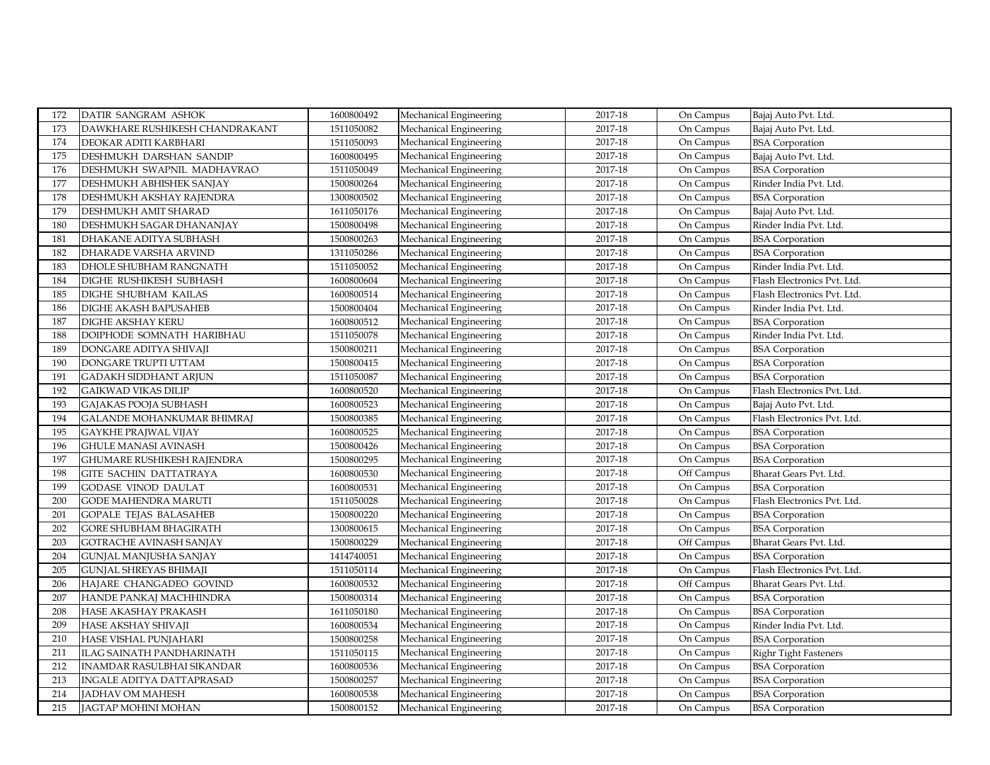| 172 | DATIR SANGRAM ASHOK               | 1600800492 | Mechanical Engineering | 2017-18     | On Campus  | Bajaj Auto Pvt. Ltd.        |
|-----|-----------------------------------|------------|------------------------|-------------|------------|-----------------------------|
| 173 | DAWKHARE RUSHIKESH CHANDRAKANT    | 1511050082 | Mechanical Engineering | 2017-18     | On Campus  | Bajaj Auto Pvt. Ltd.        |
| 174 | DEOKAR ADITI KARBHARI             | 1511050093 | Mechanical Engineering | 2017-18     | On Campus  | <b>BSA</b> Corporation      |
| 175 | DESHMUKH DARSHAN SANDIP           | 1600800495 | Mechanical Engineering | 2017-18     | On Campus  | Bajaj Auto Pvt. Ltd.        |
| 176 | DESHMUKH SWAPNIL MADHAVRAO        | 1511050049 | Mechanical Engineering | 2017-18     | On Campus  | <b>BSA</b> Corporation      |
| 177 | DESHMUKH ABHISHEK SANJAY          | 1500800264 | Mechanical Engineering | 2017-18     | On Campus  | Rinder India Pvt. Ltd.      |
| 178 | DESHMUKH AKSHAY RAJENDRA          | 1300800502 | Mechanical Engineering | $2017 - 18$ | On Campus  | <b>BSA</b> Corporation      |
| 179 | <b>DESHMUKH AMIT SHARAD</b>       | 1611050176 | Mechanical Engineering | 2017-18     | On Campus  | Bajaj Auto Pvt. Ltd.        |
| 180 | DESHMUKH SAGAR DHANANJAY          | 1500800498 | Mechanical Engineering | 2017-18     | On Campus  | Rinder India Pvt. Ltd.      |
| 181 | DHAKANE ADITYA SUBHASH            | 1500800263 | Mechanical Engineering | 2017-18     | On Campus  | <b>BSA</b> Corporation      |
| 182 | DHARADE VARSHA ARVIND             | 1311050286 | Mechanical Engineering | 2017-18     | On Campus  | <b>BSA</b> Corporation      |
| 183 | DHOLE SHUBHAM RANGNATH            | 1511050052 | Mechanical Engineering | 2017-18     | On Campus  | Rinder India Pvt. Ltd.      |
| 184 | DIGHE RUSHIKESH SUBHASH           | 1600800604 | Mechanical Engineering | 2017-18     | On Campus  | Flash Electronics Pvt. Ltd. |
| 185 | DIGHE SHUBHAM KAILAS              | 1600800514 | Mechanical Engineering | 2017-18     | On Campus  | Flash Electronics Pvt. Ltd. |
| 186 | DIGHE AKASH BAPUSAHEB             | 1500800404 | Mechanical Engineering | 2017-18     | On Campus  | Rinder India Pvt. Ltd.      |
| 187 | <b>DIGHE AKSHAY KERU</b>          | 1600800512 | Mechanical Engineering | 2017-18     | On Campus  | <b>BSA</b> Corporation      |
| 188 | DOIPHODE SOMNATH HARIBHAU         | 1511050078 | Mechanical Engineering | 2017-18     | On Campus  | Rinder India Pvt. Ltd.      |
| 189 | DONGARE ADITYA SHIVAJI            | 1500800211 | Mechanical Engineering | 2017-18     | On Campus  | <b>BSA</b> Corporation      |
| 190 | DONGARE TRUPTI UTTAM              | 1500800415 | Mechanical Engineering | 2017-18     | On Campus  | <b>BSA</b> Corporation      |
| 191 | <b>GADAKH SIDDHANT ARJUN</b>      | 1511050087 | Mechanical Engineering | 2017-18     | On Campus  | <b>BSA</b> Corporation      |
| 192 | <b>GAIKWAD VIKAS DILIP</b>        | 1600800520 | Mechanical Engineering | 2017-18     | On Campus  | Flash Electronics Pvt. Ltd. |
| 193 | GAJAKAS POOJA SUBHASH             | 1600800523 | Mechanical Engineering | 2017-18     | On Campus  | Bajaj Auto Pvt. Ltd.        |
| 194 | <b>GALANDE MOHANKUMAR BHIMRAJ</b> | 1500800385 | Mechanical Engineering | 2017-18     | On Campus  | Flash Electronics Pvt. Ltd. |
| 195 | <b>GAYKHE PRAJWAL VIJAY</b>       | 1600800525 | Mechanical Engineering | 2017-18     | On Campus  | <b>BSA</b> Corporation      |
| 196 | <b>GHULE MANASI AVINASH</b>       | 1500800426 | Mechanical Engineering | 2017-18     | On Campus  | <b>BSA</b> Corporation      |
| 197 | <b>GHUMARE RUSHIKESH RAJENDRA</b> | 1500800295 | Mechanical Engineering | 2017-18     | On Campus  | <b>BSA</b> Corporation      |
| 198 | <b>GITE SACHIN DATTATRAYA</b>     | 1600800530 | Mechanical Engineering | 2017-18     | Off Campus | Bharat Gears Pvt. Ltd.      |
| 199 | <b>GODASE VINOD DAULAT</b>        | 1600800531 | Mechanical Engineering | 2017-18     | On Campus  | <b>BSA</b> Corporation      |
| 200 | <b>GODE MAHENDRA MARUTI</b>       | 1511050028 | Mechanical Engineering | 2017-18     | On Campus  | Flash Electronics Pvt. Ltd. |
| 201 | <b>GOPALE TEJAS BALASAHEB</b>     | 1500800220 | Mechanical Engineering | 2017-18     | On Campus  | <b>BSA</b> Corporation      |
| 202 | <b>GORE SHUBHAM BHAGIRATH</b>     | 1300800615 | Mechanical Engineering | 2017-18     | On Campus  | <b>BSA</b> Corporation      |
| 203 | <b>GOTRACHE AVINASH SANJAY</b>    | 1500800229 | Mechanical Engineering | 2017-18     | Off Campus | Bharat Gears Pvt. Ltd.      |
| 204 | GUNJAL MANJUSHA SANJAY            | 1414740051 | Mechanical Engineering | 2017-18     | On Campus  | <b>BSA</b> Corporation      |
| 205 | <b>GUNJAL SHREYAS BHIMAJI</b>     | 1511050114 | Mechanical Engineering | 2017-18     | On Campus  | Flash Electronics Pvt. Ltd. |
| 206 | HAJARE CHANGADEO GOVIND           | 1600800532 | Mechanical Engineering | 2017-18     | Off Campus | Bharat Gears Pvt. Ltd.      |
| 207 | HANDE PANKAJ MACHHINDRA           | 1500800314 | Mechanical Engineering | 2017-18     | On Campus  | <b>BSA</b> Corporation      |
| 208 | HASE AKASHAY PRAKASH              | 1611050180 | Mechanical Engineering | 2017-18     | On Campus  | <b>BSA</b> Corporation      |
| 209 | HASE AKSHAY SHIVAJI               | 1600800534 | Mechanical Engineering | 2017-18     | On Campus  | Rinder India Pvt. Ltd.      |
| 210 | HASE VISHAL PUNJAHARI             | 1500800258 | Mechanical Engineering | 2017-18     | On Campus  | <b>BSA</b> Corporation      |
| 211 | ILAG SAINATH PANDHARINATH         | 1511050115 | Mechanical Engineering | 2017-18     | On Campus  | Righr Tight Fasteners       |
| 212 | <b>INAMDAR RASULBHAI SIKANDAR</b> | 1600800536 | Mechanical Engineering | 2017-18     | On Campus  | <b>BSA</b> Corporation      |
| 213 | INGALE ADITYA DATTAPRASAD         | 1500800257 | Mechanical Engineering | 2017-18     | On Campus  | <b>BSA</b> Corporation      |
| 214 | JADHAV OM MAHESH                  | 1600800538 | Mechanical Engineering | 2017-18     | On Campus  | <b>BSA</b> Corporation      |
| 215 | JAGTAP MOHINI MOHAN               | 1500800152 | Mechanical Engineering | 2017-18     | On Campus  | <b>BSA</b> Corporation      |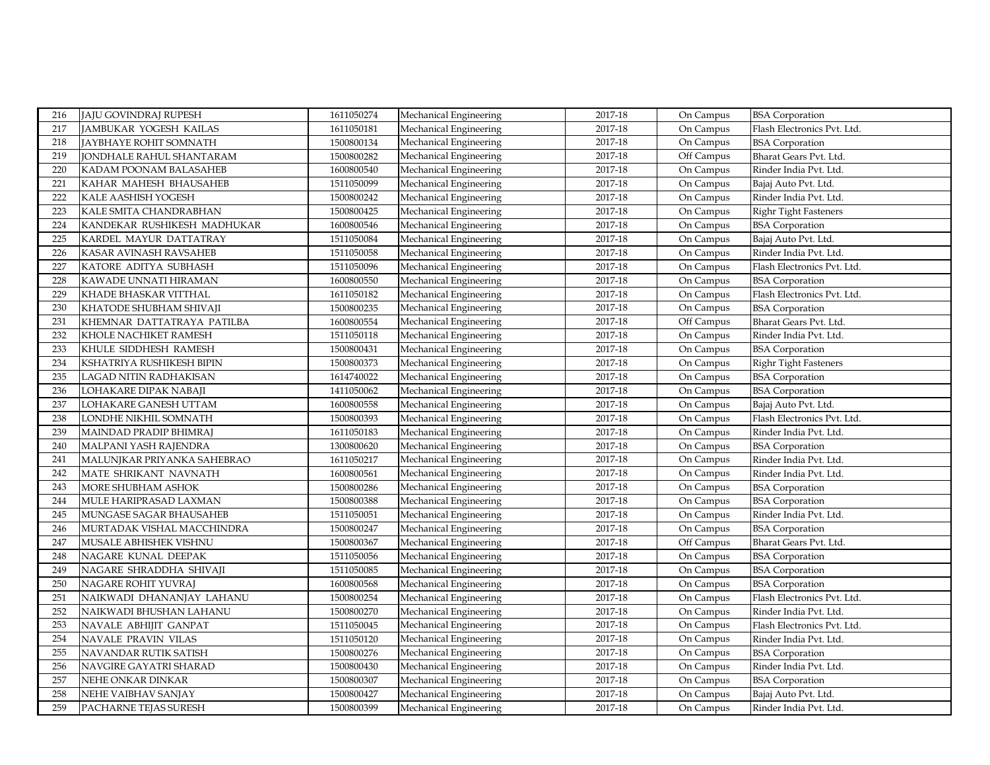| 216 | <b>JAJU GOVINDRAJ RUPESH</b>  | 1611050274 | Mechanical Engineering | 2017-18     | On Campus  | <b>BSA</b> Corporation       |
|-----|-------------------------------|------------|------------------------|-------------|------------|------------------------------|
| 217 | JAMBUKAR YOGESH KAILAS        | 1611050181 | Mechanical Engineering | 2017-18     | On Campus  | Flash Electronics Pvt. Ltd.  |
| 218 | <b>JAYBHAYE ROHIT SOMNATH</b> | 1500800134 | Mechanical Engineering | 2017-18     | On Campus  | <b>BSA</b> Corporation       |
| 219 | JONDHALE RAHUL SHANTARAM      | 1500800282 | Mechanical Engineering | 2017-18     | Off Campus | Bharat Gears Pvt. Ltd.       |
| 220 | KADAM POONAM BALASAHEB        | 1600800540 | Mechanical Engineering | 2017-18     | On Campus  | Rinder India Pvt. Ltd.       |
| 221 | KAHAR MAHESH BHAUSAHEB        | 1511050099 | Mechanical Engineering | 2017-18     | On Campus  | Bajaj Auto Pvt. Ltd.         |
| 222 | KALE AASHISH YOGESH           | 1500800242 | Mechanical Engineering | 2017-18     | On Campus  | Rinder India Pvt. Ltd.       |
| 223 | KALE SMITA CHANDRABHAN        | 1500800425 | Mechanical Engineering | 2017-18     | On Campus  | <b>Righr Tight Fasteners</b> |
| 224 | KANDEKAR RUSHIKESH MADHUKAR   | 1600800546 | Mechanical Engineering | 2017-18     | On Campus  | <b>BSA</b> Corporation       |
| 225 | KARDEL MAYUR DATTATRAY        | 1511050084 | Mechanical Engineering | 2017-18     | On Campus  | Bajaj Auto Pvt. Ltd.         |
| 226 | KASAR AVINASH RAVSAHEB        | 1511050058 | Mechanical Engineering | 2017-18     | On Campus  | Rinder India Pvt. Ltd.       |
| 227 | KATORE ADITYA SUBHASH         | 1511050096 | Mechanical Engineering | 2017-18     | On Campus  | Flash Electronics Pvt. Ltd.  |
| 228 | KAWADE UNNATI HIRAMAN         | 1600800550 | Mechanical Engineering | 2017-18     | On Campus  | <b>BSA</b> Corporation       |
| 229 | KHADE BHASKAR VITTHAL         | 1611050182 | Mechanical Engineering | 2017-18     | On Campus  | Flash Electronics Pvt. Ltd.  |
| 230 | KHATODE SHUBHAM SHIVAJI       | 1500800235 | Mechanical Engineering | 2017-18     | On Campus  | <b>BSA</b> Corporation       |
| 231 | KHEMNAR DATTATRAYA PATILBA    | 1600800554 | Mechanical Engineering | 2017-18     | Off Campus | Bharat Gears Pvt. Ltd.       |
| 232 | KHOLE NACHIKET RAMESH         | 1511050118 | Mechanical Engineering | 2017-18     | On Campus  | Rinder India Pvt. Ltd.       |
| 233 | KHULE SIDDHESH RAMESH         | 1500800431 | Mechanical Engineering | 2017-18     | On Campus  | <b>BSA</b> Corporation       |
| 234 | KSHATRIYA RUSHIKESH BIPIN     | 1500800373 | Mechanical Engineering | 2017-18     | On Campus  | Righr Tight Fasteners        |
| 235 | LAGAD NITIN RADHAKISAN        | 1614740022 | Mechanical Engineering | 2017-18     | On Campus  | <b>BSA</b> Corporation       |
| 236 | LOHAKARE DIPAK NABAJI         | 1411050062 | Mechanical Engineering | 2017-18     | On Campus  | <b>BSA</b> Corporation       |
| 237 | LOHAKARE GANESH UTTAM         | 1600800558 | Mechanical Engineering | 2017-18     | On Campus  | Bajaj Auto Pvt. Ltd.         |
| 238 | LONDHE NIKHIL SOMNATH         | 1500800393 | Mechanical Engineering | 2017-18     | On Campus  | Flash Electronics Pvt. Ltd.  |
| 239 | MAINDAD PRADIP BHIMRAJ        | 1611050183 | Mechanical Engineering | 2017-18     | On Campus  | Rinder India Pvt. Ltd.       |
| 240 | MALPANI YASH RAJENDRA         | 1300800620 | Mechanical Engineering | 2017-18     | On Campus  | <b>BSA</b> Corporation       |
| 241 | MALUNJKAR PRIYANKA SAHEBRAO   | 1611050217 | Mechanical Engineering | 2017-18     | On Campus  | Rinder India Pvt. Ltd.       |
| 242 | MATE SHRIKANT NAVNATH         | 1600800561 | Mechanical Engineering | $2017 - 18$ | On Campus  | Rinder India Pvt. Ltd.       |
| 243 | MORE SHUBHAM ASHOK            | 1500800286 | Mechanical Engineering | 2017-18     | On Campus  | <b>BSA</b> Corporation       |
| 244 | MULE HARIPRASAD LAXMAN        | 1500800388 | Mechanical Engineering | 2017-18     | On Campus  | <b>BSA</b> Corporation       |
| 245 | MUNGASE SAGAR BHAUSAHEB       | 1511050051 | Mechanical Engineering | 2017-18     | On Campus  | Rinder India Pvt. Ltd.       |
| 246 | MURTADAK VISHAL MACCHINDRA    | 1500800247 | Mechanical Engineering | 2017-18     | On Campus  | <b>BSA</b> Corporation       |
| 247 | MUSALE ABHISHEK VISHNU        | 1500800367 | Mechanical Engineering | 2017-18     | Off Campus | Bharat Gears Pvt. Ltd.       |
| 248 | NAGARE KUNAL DEEPAK           | 1511050056 | Mechanical Engineering | 2017-18     | On Campus  | <b>BSA Corporation</b>       |
| 249 | NAGARE SHRADDHA SHIVAJI       | 1511050085 | Mechanical Engineering | 2017-18     | On Campus  | <b>BSA</b> Corporation       |
| 250 | NAGARE ROHIT YUVRAJ           | 1600800568 | Mechanical Engineering | 2017-18     | On Campus  | <b>BSA</b> Corporation       |
| 251 | NAIKWADI DHANANJAY LAHANU     | 1500800254 | Mechanical Engineering | 2017-18     | On Campus  | Flash Electronics Pvt. Ltd.  |
| 252 | NAIKWADI BHUSHAN LAHANU       | 1500800270 | Mechanical Engineering | 2017-18     | On Campus  | Rinder India Pvt. Ltd.       |
| 253 | NAVALE ABHIJIT GANPAT         | 1511050045 | Mechanical Engineering | 2017-18     | On Campus  | Flash Electronics Pvt. Ltd.  |
| 254 | NAVALE PRAVIN VILAS           | 1511050120 | Mechanical Engineering | 2017-18     | On Campus  | Rinder India Pvt. Ltd.       |
| 255 | NAVANDAR RUTIK SATISH         | 1500800276 | Mechanical Engineering | 2017-18     | On Campus  | <b>BSA</b> Corporation       |
| 256 | NAVGIRE GAYATRI SHARAD        | 1500800430 | Mechanical Engineering | 2017-18     | On Campus  | Rinder India Pvt. Ltd.       |
| 257 | NEHE ONKAR DINKAR             | 1500800307 | Mechanical Engineering | 2017-18     | On Campus  | <b>BSA</b> Corporation       |
| 258 | NEHE VAIBHAV SANJAY           | 1500800427 | Mechanical Engineering | 2017-18     | On Campus  | Bajaj Auto Pvt. Ltd.         |
| 259 | PACHARNE TEJAS SURESH         | 1500800399 | Mechanical Engineering | 2017-18     | On Campus  | Rinder India Pvt. Ltd.       |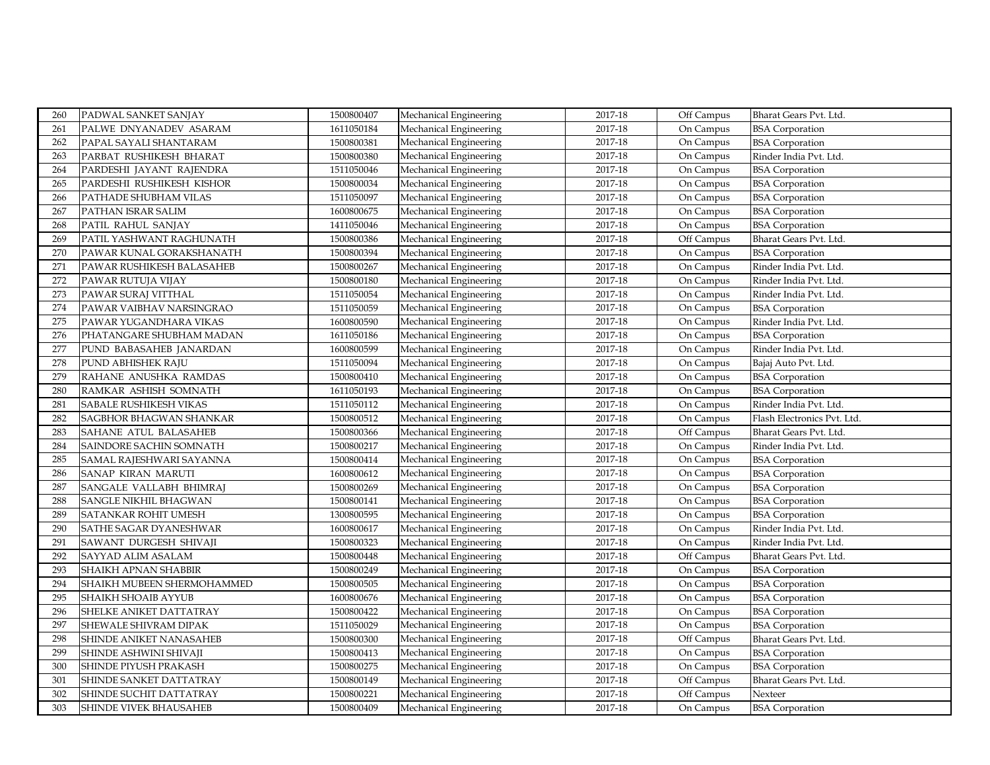| 260 | PADWAL SANKET SANJAY       | 1500800407 | Mechanical Engineering | 2017-18 | Off Campus | Bharat Gears Pvt. Ltd.      |
|-----|----------------------------|------------|------------------------|---------|------------|-----------------------------|
| 261 | PALWE DNYANADEV ASARAM     | 1611050184 | Mechanical Engineering | 2017-18 | On Campus  | <b>BSA</b> Corporation      |
| 262 | PAPAL SAYALI SHANTARAM     | 1500800381 | Mechanical Engineering | 2017-18 | On Campus  | <b>BSA</b> Corporation      |
| 263 | PARBAT RUSHIKESH BHARAT    | 1500800380 | Mechanical Engineering | 2017-18 | On Campus  | Rinder India Pvt. Ltd.      |
| 264 | PARDESHI JAYANT RAJENDRA   | 1511050046 | Mechanical Engineering | 2017-18 | On Campus  | <b>BSA</b> Corporation      |
| 265 | PARDESHI RUSHIKESH KISHOR  | 1500800034 | Mechanical Engineering | 2017-18 | On Campus  | <b>BSA</b> Corporation      |
| 266 | PATHADE SHUBHAM VILAS      | 1511050097 | Mechanical Engineering | 2017-18 | On Campus  | <b>BSA</b> Corporation      |
| 267 | PATHAN ISRAR SALIM         | 1600800675 | Mechanical Engineering | 2017-18 | On Campus  | <b>BSA</b> Corporation      |
| 268 | PATIL RAHUL SANJAY         | 1411050046 | Mechanical Engineering | 2017-18 | On Campus  | <b>BSA</b> Corporation      |
| 269 | PATIL YASHWANT RAGHUNATH   | 1500800386 | Mechanical Engineering | 2017-18 | Off Campus | Bharat Gears Pvt. Ltd.      |
| 270 | PAWAR KUNAL GORAKSHANATH   | 1500800394 | Mechanical Engineering | 2017-18 | On Campus  | <b>BSA</b> Corporation      |
| 271 | PAWAR RUSHIKESH BALASAHEB  | 1500800267 | Mechanical Engineering | 2017-18 | On Campus  | Rinder India Pvt. Ltd.      |
| 272 | PAWAR RUTUJA VIJAY         | 1500800180 | Mechanical Engineering | 2017-18 | On Campus  | Rinder India Pvt. Ltd.      |
| 273 | PAWAR SURAJ VITTHAL        | 1511050054 | Mechanical Engineering | 2017-18 | On Campus  | Rinder India Pvt. Ltd.      |
| 274 | PAWAR VAIBHAV NARSINGRAO   | 1511050059 | Mechanical Engineering | 2017-18 | On Campus  | <b>BSA</b> Corporation      |
| 275 | PAWAR YUGANDHARA VIKAS     | 1600800590 | Mechanical Engineering | 2017-18 | On Campus  | Rinder India Pvt. Ltd.      |
| 276 | PHATANGARE SHUBHAM MADAN   | 1611050186 | Mechanical Engineering | 2017-18 | On Campus  | <b>BSA Corporation</b>      |
| 277 | PUND BABASAHEB JANARDAN    | 1600800599 | Mechanical Engineering | 2017-18 | On Campus  | Rinder India Pvt. Ltd.      |
| 278 | PUND ABHISHEK RAJU         | 1511050094 | Mechanical Engineering | 2017-18 | On Campus  | Bajaj Auto Pvt. Ltd.        |
| 279 | RAHANE ANUSHKA RAMDAS      | 1500800410 | Mechanical Engineering | 2017-18 | On Campus  | <b>BSA</b> Corporation      |
| 280 | RAMKAR ASHISH SOMNATH      | 1611050193 | Mechanical Engineering | 2017-18 | On Campus  | <b>BSA</b> Corporation      |
| 281 | SABALE RUSHIKESH VIKAS     | 1511050112 | Mechanical Engineering | 2017-18 | On Campus  | Rinder India Pvt. Ltd.      |
| 282 | SAGBHOR BHAGWAN SHANKAR    | 1500800512 | Mechanical Engineering | 2017-18 | On Campus  | Flash Electronics Pvt. Ltd. |
| 283 | SAHANE ATUL BALASAHEB      | 1500800366 | Mechanical Engineering | 2017-18 | Off Campus | Bharat Gears Pvt. Ltd.      |
| 284 | SAINDORE SACHIN SOMNATH    | 1500800217 | Mechanical Engineering | 2017-18 | On Campus  | Rinder India Pvt. Ltd.      |
| 285 | SAMAL RAJESHWARI SAYANNA   | 1500800414 | Mechanical Engineering | 2017-18 | On Campus  | <b>BSA</b> Corporation      |
| 286 | SANAP KIRAN MARUTI         | 1600800612 | Mechanical Engineering | 2017-18 | On Campus  | <b>BSA</b> Corporation      |
| 287 | SANGALE VALLABH BHIMRAJ    | 1500800269 | Mechanical Engineering | 2017-18 | On Campus  | <b>BSA</b> Corporation      |
| 288 | SANGLE NIKHIL BHAGWAN      | 1500800141 | Mechanical Engineering | 2017-18 | On Campus  | <b>BSA</b> Corporation      |
| 289 | SATANKAR ROHIT UMESH       | 1300800595 | Mechanical Engineering | 2017-18 | On Campus  | <b>BSA</b> Corporation      |
| 290 | SATHE SAGAR DYANESHWAR     | 1600800617 | Mechanical Engineering | 2017-18 | On Campus  | Rinder India Pvt. Ltd.      |
| 291 | SAWANT DURGESH SHIVAJI     | 1500800323 | Mechanical Engineering | 2017-18 | On Campus  | Rinder India Pvt. Ltd.      |
| 292 | SAYYAD ALIM ASALAM         | 1500800448 | Mechanical Engineering | 2017-18 | Off Campus | Bharat Gears Pvt. Ltd.      |
| 293 | SHAIKH APNAN SHABBIR       | 1500800249 | Mechanical Engineering | 2017-18 | On Campus  | <b>BSA</b> Corporation      |
| 294 | SHAIKH MUBEEN SHERMOHAMMED | 1500800505 | Mechanical Engineering | 2017-18 | On Campus  | <b>BSA</b> Corporation      |
| 295 | SHAIKH SHOAIB AYYUB        | 1600800676 | Mechanical Engineering | 2017-18 | On Campus  | <b>BSA</b> Corporation      |
| 296 | SHELKE ANIKET DATTATRAY    | 1500800422 | Mechanical Engineering | 2017-18 | On Campus  | <b>BSA</b> Corporation      |
| 297 | SHEWALE SHIVRAM DIPAK      | 1511050029 | Mechanical Engineering | 2017-18 | On Campus  | <b>BSA</b> Corporation      |
| 298 | SHINDE ANIKET NANASAHEB    | 1500800300 | Mechanical Engineering | 2017-18 | Off Campus | Bharat Gears Pvt. Ltd.      |
| 299 | SHINDE ASHWINI SHIVAJI     | 1500800413 | Mechanical Engineering | 2017-18 | On Campus  | <b>BSA</b> Corporation      |
| 300 | SHINDE PIYUSH PRAKASH      | 1500800275 | Mechanical Engineering | 2017-18 | On Campus  | <b>BSA</b> Corporation      |
| 301 | SHINDE SANKET DATTATRAY    | 1500800149 | Mechanical Engineering | 2017-18 | Off Campus | Bharat Gears Pvt. Ltd.      |
| 302 | SHINDE SUCHIT DATTATRAY    | 1500800221 | Mechanical Engineering | 2017-18 | Off Campus | Nexteer                     |
| 303 | SHINDE VIVEK BHAUSAHEB     | 1500800409 | Mechanical Engineering | 2017-18 | On Campus  | <b>BSA</b> Corporation      |